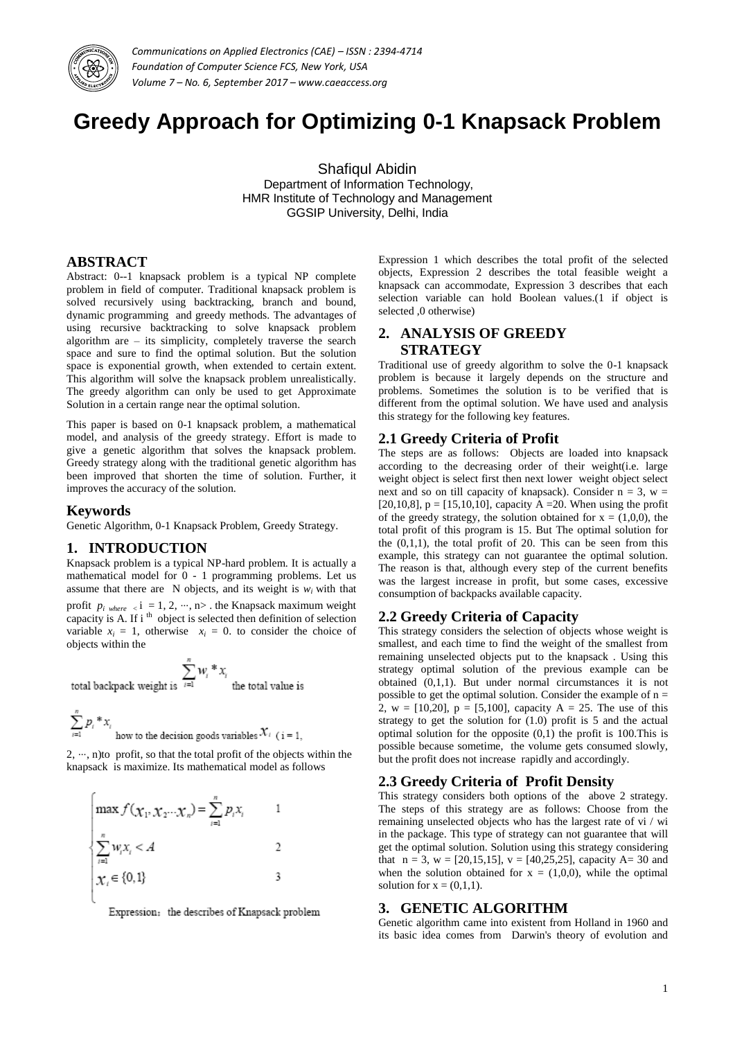

*Communications on Applied Electronics (CAE) – ISSN : 2394-4714 Foundation of Computer Science FCS, New York, USA Volume 7 – No. 6, September 2017 – www.caeaccess.org*

# **Greedy Approach for Optimizing 0-1 Knapsack Problem**

Shafiqul Abidin Department of Information Technology, HMR Institute of Technology and Management GGSIP University, Delhi, India

### **ABSTRACT**

Abstract: 0--1 knapsack problem is a typical NP complete problem in field of computer. Traditional knapsack problem is solved recursively using backtracking, branch and bound, dynamic programming and greedy methods. The advantages of using recursive backtracking to solve knapsack problem algorithm are – its simplicity, completely traverse the search space and sure to find the optimal solution. But the solution space is exponential growth, when extended to certain extent. This algorithm will solve the knapsack problem unrealistically. The greedy algorithm can only be used to get Approximate Solution in a certain range near the optimal solution.

This paper is based on 0-1 knapsack problem, a mathematical model, and analysis of the greedy strategy. Effort is made to give a genetic algorithm that solves the knapsack problem. Greedy strategy along with the traditional genetic algorithm has been improved that shorten the time of solution. Further, it improves the accuracy of the solution.

#### **Keywords**

Genetic Algorithm, 0-1 Knapsack Problem, Greedy Strategy.

#### **1. INTRODUCTION**

Knapsack problem is a typical NP-hard problem. It is actually a mathematical model for 0 - 1 programming problems. Let us assume that there are  $N$  objects, and its weight is  $w_i$  with that

profit  $p_i$  where  $\langle i = 1, 2, \cdots, n \rangle$ . the Knapsack maximum weight capacity is A. If  $i<sup>th</sup>$  object is selected then definition of selection variable  $x_i = 1$ , otherwise  $x_i = 0$  to consider the choice of objects within the

the total value is

$$
\sum^n w_i * x
$$

total backpack weight is  $\overline{1}$ 

$$
\sum_{i=1}^{n} p_i \cdot x_i
$$
 how to the decision goods variables  $\mathcal{X}_i$  (i = 1)

2, ⋯, n)to profit, so that the total profit of the objects within the knapsack is maximize. Its mathematical model as follows

$$
\begin{cases}\n\max f(\chi_1, \chi_2 \dots \chi_n) = \sum_{i=1}^n p_i x_i & 1 \\
\sum_{i=1}^n w_i x_i < A & 2 \\
\chi_i \in \{0, 1\} & 3\n\end{cases}
$$

Expression: the describes of Knapsack problem

Expression 1 which describes the total profit of the selected objects, Expression 2 describes the total feasible weight a knapsack can accommodate, Expression 3 describes that each selection variable can hold Boolean values.(1 if object is selected ,0 otherwise)

# **2. ANALYSIS OF GREEDY STRATEGY**

Traditional use of greedy algorithm to solve the 0-1 knapsack problem is because it largely depends on the structure and problems. Sometimes the solution is to be verified that is different from the optimal solution. We have used and analysis this strategy for the following key features.

#### **2.1 Greedy Criteria of Profit**

The steps are as follows: Objects are loaded into knapsack according to the decreasing order of their weight(i.e. large weight object is select first then next lower weight object select next and so on till capacity of knapsack). Consider  $n = 3$ ,  $w =$ [20,10,8],  $p = [15,10,10]$ , capacity A = 20. When using the profit of the greedy strategy, the solution obtained for  $x = (1,0,0)$ , the total profit of this program is 15. But The optimal solution for the  $(0,1,1)$ , the total profit of 20. This can be seen from this example, this strategy can not guarantee the optimal solution. The reason is that, although every step of the current benefits was the largest increase in profit, but some cases, excessive consumption of backpacks available capacity.

# **2.2 Greedy Criteria of Capacity**

This strategy considers the selection of objects whose weight is smallest, and each time to find the weight of the smallest from remaining unselected objects put to the knapsack . Using this strategy optimal solution of the previous example can be obtained (0,1,1). But under normal circumstances it is not possible to get the optimal solution. Consider the example of  $n =$ 2, w = [10,20],  $p = [5,100]$ , capacity A = 25. The use of this strategy to get the solution for (1.0) profit is 5 and the actual optimal solution for the opposite  $(0,1)$  the profit is 100. This is possible because sometime, the volume gets consumed slowly, but the profit does not increase rapidly and accordingly.

#### **2.3 Greedy Criteria of Profit Density**

This strategy considers both options of the above 2 strategy. The steps of this strategy are as follows: Choose from the remaining unselected objects who has the largest rate of vi / wi in the package. This type of strategy can not guarantee that will get the optimal solution. Solution using this strategy considering that  $n = 3$ ,  $w = [20, 15, 15]$ ,  $v = [40, 25, 25]$ , capacity A= 30 and when the solution obtained for  $x = (1,0,0)$ , while the optimal solution for  $x = (0,1,1)$ .

# **3. GENETIC ALGORITHM**

Genetic algorithm came into existent from Holland in 1960 and its basic idea comes from Darwin's theory of evolution and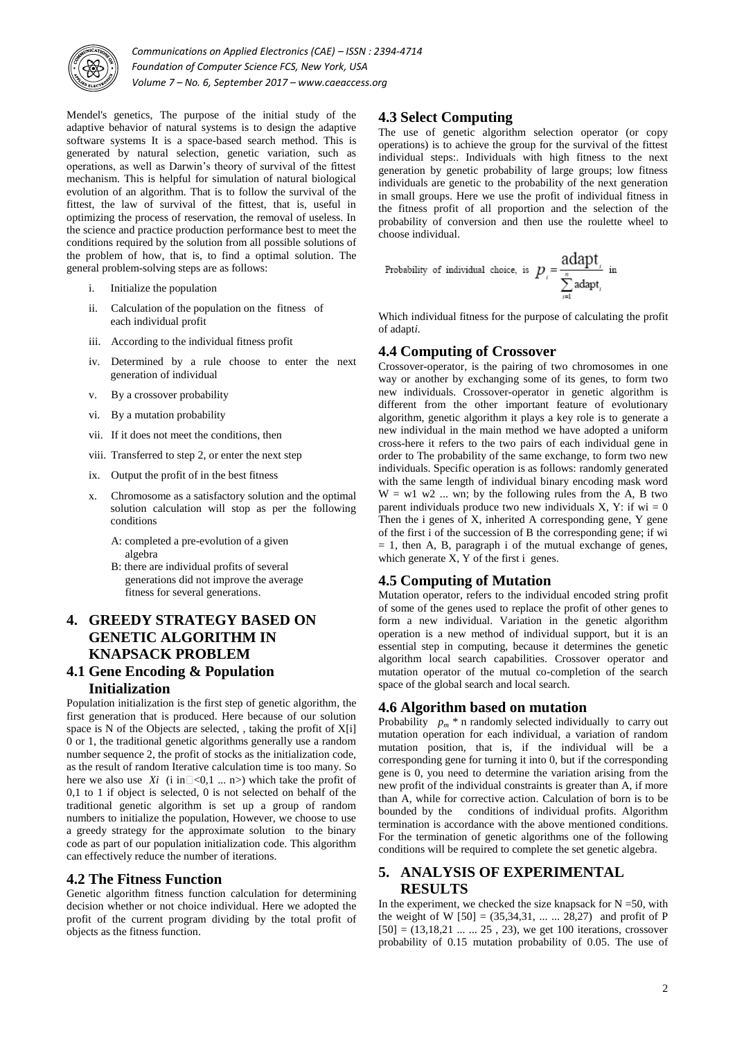

*Communications on Applied Electronics (CAE) – ISSN : 2394-4714 Foundation of Computer Science FCS, New York, USA Volume 7 – No. 6, September 2017 – www.caeaccess.org*

Mendel's genetics, The purpose of the initial study of the adaptive behavior of natural systems is to design the adaptive software systems It is a space-based search method. This is generated by natural selection, genetic variation, such as operations, as well as Darwin's theory of survival of the fittest mechanism. This is helpful for simulation of natural biological evolution of an algorithm. That is to follow the survival of the fittest, the law of survival of the fittest, that is, useful in optimizing the process of reservation, the removal of useless. In the science and practice production performance best to meet the conditions required by the solution from all possible solutions of the problem of how, that is, to find a optimal solution. The general problem-solving steps are as follows:

- i. Initialize the population
- ii. Calculation of the population on the fitness of each individual profit
- iii. According to the individual fitness profit
- iv. Determined by a rule choose to enter the next generation of individual
- v. By a crossover probability
- vi. By a mutation probability
- vii. If it does not meet the conditions, then
- viii. Transferred to step 2, or enter the next step
- ix. Output the profit of in the best fitness
- x. Chromosome as a satisfactory solution and the optimal solution calculation will stop as per the following conditions
	- A: completed a pre-evolution of a given algebra
	- B: there are individual profits of several generations did not improve the average fitness for several generations.

# **4. GREEDY STRATEGY BASED ON GENETIC ALGORITHM IN KNAPSACK PROBLEM**

### **4.1 Gene Encoding & Population Initialization**

Population initialization is the first step of genetic algorithm, the first generation that is produced. Here because of our solution space is  $N$  of the Objects are selected, , taking the profit of  $X[i]$ 0 or 1, the traditional genetic algorithms generally use a random number sequence 2, the profit of stocks as the initialization code, as the result of random Iterative calculation time is too many. So here we also use *Xi* (i in  $\leq$  0,1 ... n>) which take the profit of 0,1 to 1 if object is selected, 0 is not selected on behalf of the traditional genetic algorithm is set up a group of random numbers to initialize the population, However, we choose to use a greedy strategy for the approximate solution to the binary code as part of our population initialization code. This algorithm can effectively reduce the number of iterations.

#### **4.2 The Fitness Function**

Genetic algorithm fitness function calculation for determining decision whether or not choice individual. Here we adopted the profit of the current program dividing by the total profit of objects as the fitness function.

#### **4.3 Select Computing**

The use of genetic algorithm selection operator (or copy operations) is to achieve the group for the survival of the fittest individual steps:. Individuals with high fitness to the next generation by genetic probability of large groups; low fitness individuals are genetic to the probability of the next generation in small groups. Here we use the profit of individual fitness in the fitness profit of all proportion and the selection of the probability of conversion and then use the roulette wheel to choose individual.

Probability of individual choice, is  $p_i = \frac{\text{adapt}_i}{\sum_{i=1}^{n} \text{adapt}_i}$  in

Which individual fitness for the purpose of calculating the profit of adapt*i.*

#### **4.4 Computing of Crossover**

Crossover-operator, is the pairing of two chromosomes in one way or another by exchanging some of its genes, to form two new individuals. Crossover-operator in genetic algorithm is different from the other important feature of evolutionary algorithm, genetic algorithm it plays a key role is to generate a new individual in the main method we have adopted a uniform cross-here it refers to the two pairs of each individual gene in order to The probability of the same exchange, to form two new individuals. Specific operation is as follows: randomly generated with the same length of individual binary encoding mask word  $W = w1$  w2 ... wn; by the following rules from the A, B two parent individuals produce two new individuals X, Y: if  $wi = 0$ Then the i genes of X, inherited A corresponding gene, Y gene of the first i of the succession of B the corresponding gene; if wi  $= 1$ , then A, B, paragraph i of the mutual exchange of genes, which generate  $\overline{X}$ ,  $\overline{Y}$  of the first i genes.

#### **4.5 Computing of Mutation**

Mutation operator, refers to the individual encoded string profit of some of the genes used to replace the profit of other genes to form a new individual. Variation in the genetic algorithm operation is a new method of individual support, but it is an essential step in computing, because it determines the genetic algorithm local search capabilities. Crossover operator and mutation operator of the mutual co-completion of the search space of the global search and local search.

#### **4.6 Algorithm based on mutation**

Probability  $p_m$  \* n randomly selected individually to carry out mutation operation for each individual, a variation of random mutation position, that is, if the individual will be a corresponding gene for turning it into 0, but if the corresponding gene is 0, you need to determine the variation arising from the new profit of the individual constraints is greater than A, if more than A, while for corrective action. Calculation of born is to be bounded by the conditions of individual profits. Algorithm termination is accordance with the above mentioned conditions. For the termination of genetic algorithms one of the following conditions will be required to complete the set genetic algebra.

# **5. ANALYSIS OF EXPERIMENTAL RESULTS**

In the experiment, we checked the size knapsack for  $N = 50$ , with the weight of W  $[50] = (35,34,31, \dots, 28,27)$  and profit of P  $[50] = (13, 18, 21 \dots 25, 23)$ , we get 100 iterations, crossover probability of 0.15 mutation probability of 0.05. The use of